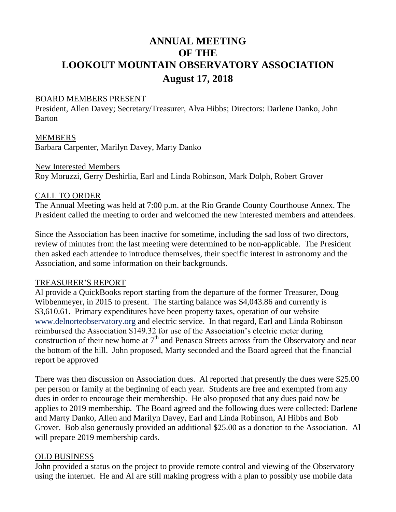# **ANNUAL MEETING OF THE LOOKOUT MOUNTAIN OBSERVATORY ASSOCIATION August 17, 2018**

#### BOARD MEMBERS PRESENT

President, Allen Davey; Secretary/Treasurer, Alva Hibbs; Directors: Darlene Danko, John Barton

#### MEMBERS

Barbara Carpenter, Marilyn Davey, Marty Danko

#### New Interested Members

Roy Moruzzi, Gerry Deshirlia, Earl and Linda Robinson, Mark Dolph, Robert Grover

## CALL TO ORDER

The Annual Meeting was held at 7:00 p.m. at the Rio Grande County Courthouse Annex. The President called the meeting to order and welcomed the new interested members and attendees.

Since the Association has been inactive for sometime, including the sad loss of two directors, review of minutes from the last meeting were determined to be non-applicable. The President then asked each attendee to introduce themselves, their specific interest in astronomy and the Association, and some information on their backgrounds.

## TREASURER'S REPORT

Al provide a QuickBooks report starting from the departure of the former Treasurer, Doug Wibbenmeyer, in 2015 to present. The starting balance was \$4,043.86 and currently is \$3,610.61. Primary expenditures have been property taxes, operation of our website www.delnorteobservatory.org and electric service. In that regard, Earl and Linda Robinson reimbursed the Association \$149.32 for use of the Association's electric meter during construction of their new home at  $7<sup>th</sup>$  and Penasco Streets across from the Observatory and near the bottom of the hill. John proposed, Marty seconded and the Board agreed that the financial report be approved

There was then discussion on Association dues. Al reported that presently the dues were \$25.00 per person or family at the beginning of each year. Students are free and exempted from any dues in order to encourage their membership. He also proposed that any dues paid now be applies to 2019 membership. The Board agreed and the following dues were collected: Darlene and Marty Danko, Allen and Marilyn Davey, Earl and Linda Robinson, Al Hibbs and Bob Grover. Bob also generously provided an additional \$25.00 as a donation to the Association. Al will prepare 2019 membership cards.

## OLD BUSINESS

John provided a status on the project to provide remote control and viewing of the Observatory using the internet. He and Al are still making progress with a plan to possibly use mobile data